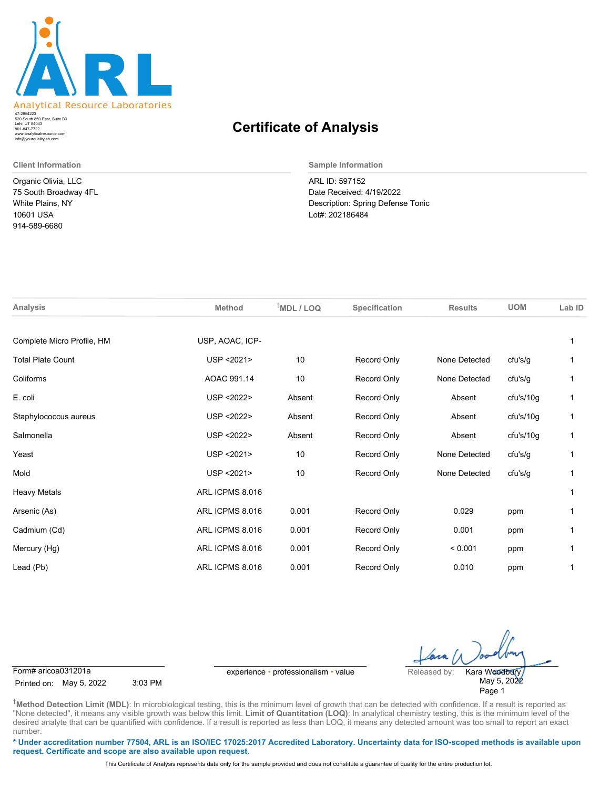

520 South 850 East, Suite B3 Lehi, UT 84043 47-2854223 801-847-7722 www.analyticalresource.com info@yourqualitylab.com

Organic Olivia, LLC 75 South Broadway 4FL White Plains, NY 10601 USA 914-589-6680

## **Certificate of Analysis**

**Client Information Sample Information**

ARL ID: 597152 Date Received: 4/19/2022 Description: Spring Defense Tonic Lot#: 202186484

| Analysis                   | <b>Method</b>   | $†MDL / LOQ$ | Specification | <b>Results</b> | <b>UOM</b> | Lab ID |
|----------------------------|-----------------|--------------|---------------|----------------|------------|--------|
| Complete Micro Profile, HM | USP, AOAC, ICP- |              |               |                |            |        |
| <b>Total Plate Count</b>   | USP < 2021>     | 10           | Record Only   | None Detected  | cfu's/g    |        |
| Coliforms                  | AOAC 991.14     | 10           | Record Only   | None Detected  | cfu's/g    |        |
| E. coli                    | USP < 2022>     | Absent       | Record Only   | Absent         | cfu's/10g  | 1      |
| Staphylococcus aureus      | USP < 2022>     | Absent       | Record Only   | Absent         | cfu's/10g  | 1      |
| Salmonella                 | USP < 2022>     | Absent       | Record Only   | Absent         | cfu's/10g  | 1      |
| Yeast                      | USP < 2021>     | 10           | Record Only   | None Detected  | cfu's/g    |        |
| Mold                       | USP < 2021>     | 10           | Record Only   | None Detected  | cfu's/g    |        |
| <b>Heavy Metals</b>        | ARL ICPMS 8.016 |              |               |                |            |        |
| Arsenic (As)               | ARL ICPMS 8.016 | 0.001        | Record Only   | 0.029          | ppm        |        |
| Cadmium (Cd)               | ARL ICPMS 8.016 | 0.001        | Record Only   | 0.001          | ppm        | 1      |
| Mercury (Hg)               | ARL ICPMS 8.016 | 0.001        | Record Only   | < 0.001        | ppm        |        |
| Lead (Pb)                  | ARL ICPMS 8.016 | 0.001        | Record Only   | 0.010          | ppm        |        |
|                            |                 |              |               |                |            |        |

Printed on: May 5, 2022 3:03 PM

Form# arlcoa031201a experience • professionalism • value Released by:

May 5, 2022 Page 1 Kara Woodbury

**†Method Detection Limit (MDL)**: In microbiological testing, this is the minimum level of growth that can be detected with confidence. If a result is reported as "None detected", it means any visible growth was below this limit. Limit of Quantitation (LOQ): In analytical chemistry testing, this is the minimum level of the desired analyte that can be quantified with confidence. If a result is reported as less than LOQ, it means any detected amount was too small to report an exact number.

**\* Under accreditation number 77504, ARL is an ISO/IEC 17025:2017 Accredited Laboratory. Uncertainty data for ISO-scoped methods is available upon request. Certificate and scope are also available upon request.**